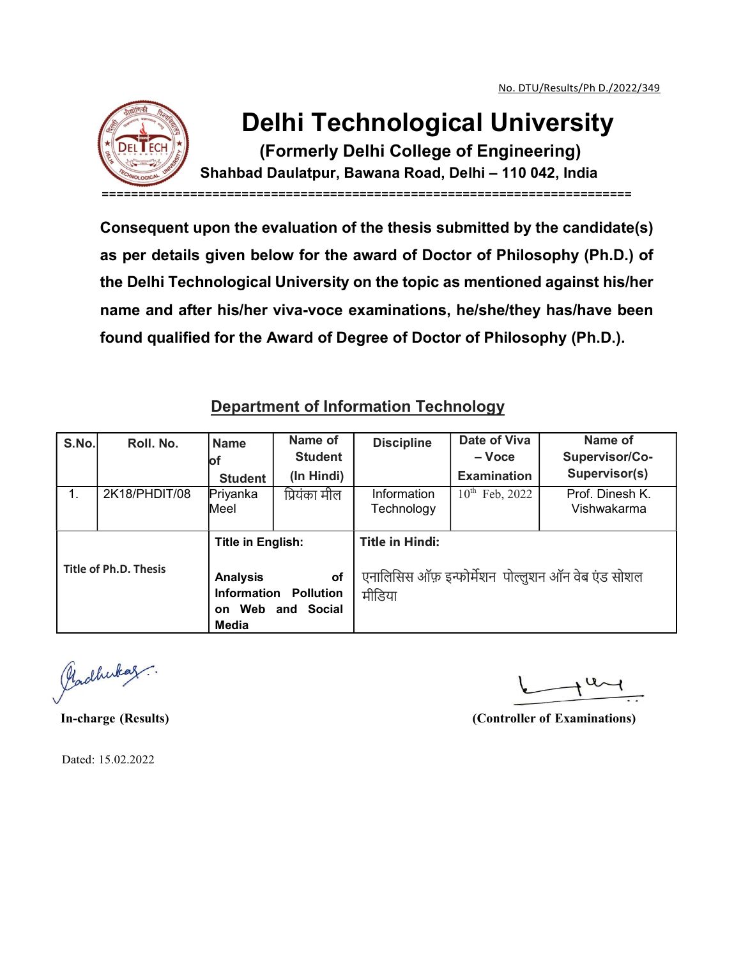

## Delhi Technological University

(Formerly Delhi College of Engineering) Shahbad Daulatpur, Bawana Road, Delhi – 110 042, India

========================================================================

Consequent upon the evaluation of the thesis submitted by the candidate(s) as per details given below for the award of Doctor of Philosophy (Ph.D.) of the Delhi Technological University on the topic as mentioned against his/her name and after his/her viva-voce examinations, he/she/they has/have been found qualified for the Award of Degree of Doctor of Philosophy (Ph.D.).

## Department of Information Technology

|                       | the Delhi Technological University on the topic as mentioned against his/her<br>name and after his/her viva-voce examinations, he/she/they has/have been |                                                                                        |                            |                                                              |                                           |                                                 |  |  |  |  |
|-----------------------|----------------------------------------------------------------------------------------------------------------------------------------------------------|----------------------------------------------------------------------------------------|----------------------------|--------------------------------------------------------------|-------------------------------------------|-------------------------------------------------|--|--|--|--|
|                       | found qualified for the Award of Degree of Doctor of Philosophy (Ph.D.).                                                                                 |                                                                                        |                            |                                                              |                                           |                                                 |  |  |  |  |
|                       |                                                                                                                                                          | <b>Department of Information Technology</b>                                            |                            |                                                              |                                           |                                                 |  |  |  |  |
| S.No.                 | Roll. No.                                                                                                                                                | <b>Name</b><br>Юf                                                                      | Name of<br><b>Student</b>  | <b>Discipline</b>                                            | Date of Viva<br>$-$ Voce                  | Name of<br>Supervisor/Co-                       |  |  |  |  |
| 1.                    | 2K18/PHDIT/08                                                                                                                                            | <b>Student</b><br>Priyanka<br>Meel                                                     | (In Hindi)<br>प्रियंका मील | Information<br>Technology                                    | <b>Examination</b><br>$10^{th}$ Feb, 2022 | Supervisor(s)<br>Prof. Dinesh K.<br>Vishwakarma |  |  |  |  |
| Title of Ph.D. Thesis |                                                                                                                                                          | Title in English:                                                                      |                            | <b>Title in Hindi:</b>                                       |                                           |                                                 |  |  |  |  |
|                       |                                                                                                                                                          | <b>Analysis</b><br>of<br>Information<br><b>Pollution</b><br>on Web and Social<br>Media |                            | एनालिसिस ऑफ़ इन्फोर्मेशन  पोल्लुशन ऑन वेब एंड सोशल<br>मीडिया |                                           |                                                 |  |  |  |  |

Plachukaz.

In-charge (Results) (Controller of Examinations)

Dated: 15.02.2022